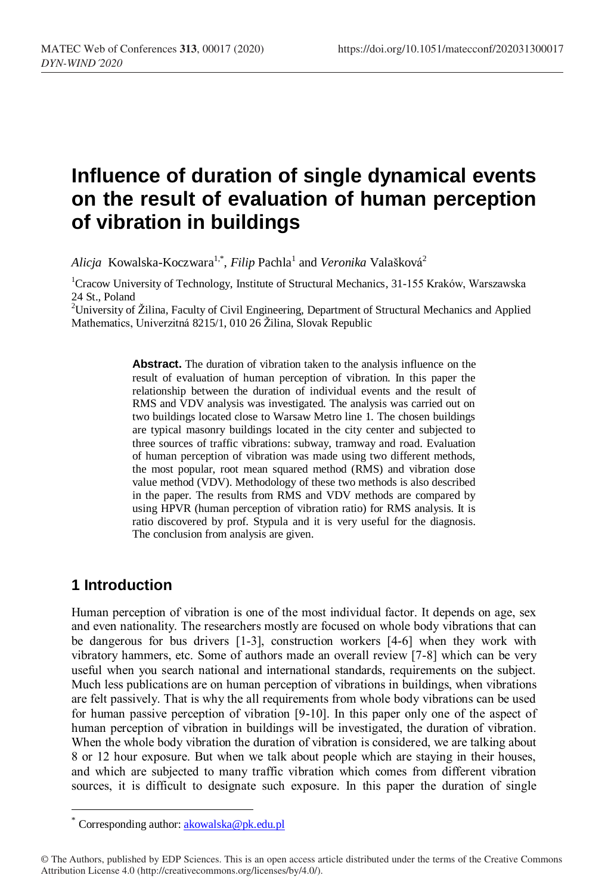# **Influence of duration of single dynamical events on the result of evaluation of human perception of vibration in buildings**

A*licja* Kowalska-Koczwara<sup>1,\*</sup>, *Filip* Pachla<sup>1</sup> and *Veronika* Valašková<sup>2</sup>

<sup>1</sup>Cracow University of Technology, Institute of Structural Mechanics, 31-155 Kraków, Warszawska 24 St., Poland

<sup>2</sup>University of Žilina, Faculty of Civil Engineering, Department of Structural Mechanics and Applied Mathematics, Univerzitná 8215/1, 010 26 Žilina, Slovak Republic

> **Abstract.** The duration of vibration taken to the analysis influence on the result of evaluation of human perception of vibration. In this paper the relationship between the duration of individual events and the result of RMS and VDV analysis was investigated. The analysis was carried out on two buildings located close to Warsaw Metro line 1. The chosen buildings are typical masonry buildings located in the city center and subjected to three sources of traffic vibrations: subway, tramway and road. Evaluation of human perception of vibration was made using two different methods, the most popular, root mean squared method (RMS) and vibration dose value method (VDV). Methodology of these two methods is also described in the paper. The results from RMS and VDV methods are compared by using HPVR (human perception of vibration ratio) for RMS analysis. It is ratio discovered by prof. Stypula and it is very useful for the diagnosis. The conclusion from analysis are given.

### **1 Introduction**

 $\overline{a}$ 

Human perception of vibration is one of the most individual factor. It depends on age, sex and even nationality. The researchers mostly are focused on whole body vibrations that can be dangerous for bus drivers [1-3], construction workers [4-6] when they work with vibratory hammers, etc. Some of authors made an overall review [7-8] which can be very useful when you search national and international standards, requirements on the subject. Much less publications are on human perception of vibrations in buildings, when vibrations are felt passively. That is why the all requirements from whole body vibrations can be used for human passive perception of vibration [9-10]. In this paper only one of the aspect of human perception of vibration in buildings will be investigated, the duration of vibration. When the whole body vibration the duration of vibration is considered, we are talking about 8 or 12 hour exposure. But when we talk about people which are staying in their houses, and which are subjected to many traffic vibration which comes from different vibration sources, it is difficult to designate such exposure. In this paper the duration of single

Corresponding author: [akowalska@pk.edu.pl](mailto:akowalska@pk.edu.pl)

<sup>©</sup> The Authors, published by EDP Sciences. This is an open access article distributed under the terms of the Creative Commons Attribution License 4.0 (http://creativecommons.org/licenses/by/4.0/).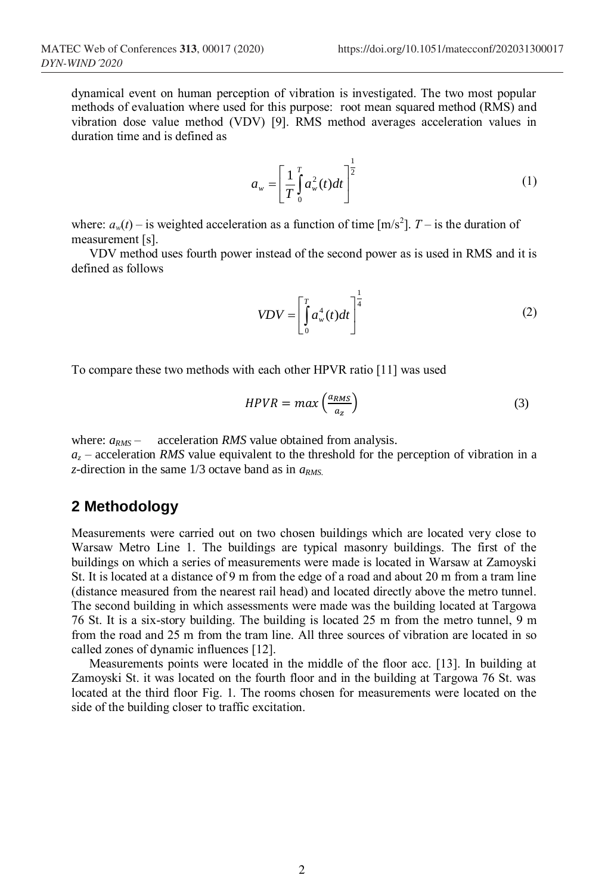dynamical event on human perception of vibration is investigated. The two most popular methods of evaluation where used for this purpose: root mean squared method (RMS) and vibration dose value method (VDV) [9]. RMS method averages acceleration values in duration time and is defined as

$$
a_w = \left[\frac{1}{T}\int_0^T a_w^2(t)dt\right]^{\frac{1}{2}}
$$
 (1)

where:  $a_w(t)$  – is weighted acceleration as a function of time  $[m/s^2]$ . *T* – is the duration of measurement [s].

VDV method uses fourth power instead of the second power as is used in RMS and it is defined as follows

$$
VDV = \left[\int_{0}^{T} a_w^4(t)dt\right]^{\frac{1}{4}}
$$
 (2)

To compare these two methods with each other HPVR ratio [11] was used

$$
HPVR = max\left(\frac{a_{RMS}}{a_Z}\right) \tag{3}
$$

where:  $a_{RMS}$  – acceleration *RMS* value obtained from analysis.

 $a<sub>z</sub>$  – acceleration *RMS* value equivalent to the threshold for the perception of vibration in a *z*-direction in the same 1/3 octave band as in *aRMS.*

#### **2 Methodology**

Measurements were carried out on two chosen buildings which are located very close to Warsaw Metro Line 1. The buildings are typical masonry buildings. The first of the buildings on which a series of measurements were made is located in Warsaw at Zamoyski St. It is located at a distance of 9 m from the edge of a road and about 20 m from a tram line (distance measured from the nearest rail head) and located directly above the metro tunnel. The second building in which assessments were made was the building located at Targowa 76 St. It is a six-story building. The building is located 25 m from the metro tunnel, 9 m from the road and 25 m from the tram line. All three sources of vibration are located in so called zones of dynamic influences [12].

Measurements points were located in the middle of the floor acc. [13]. In building at Zamoyski St. it was located on the fourth floor and in the building at Targowa 76 St. was located at the third floor Fig. 1. The rooms chosen for measurements were located on the side of the building closer to traffic excitation.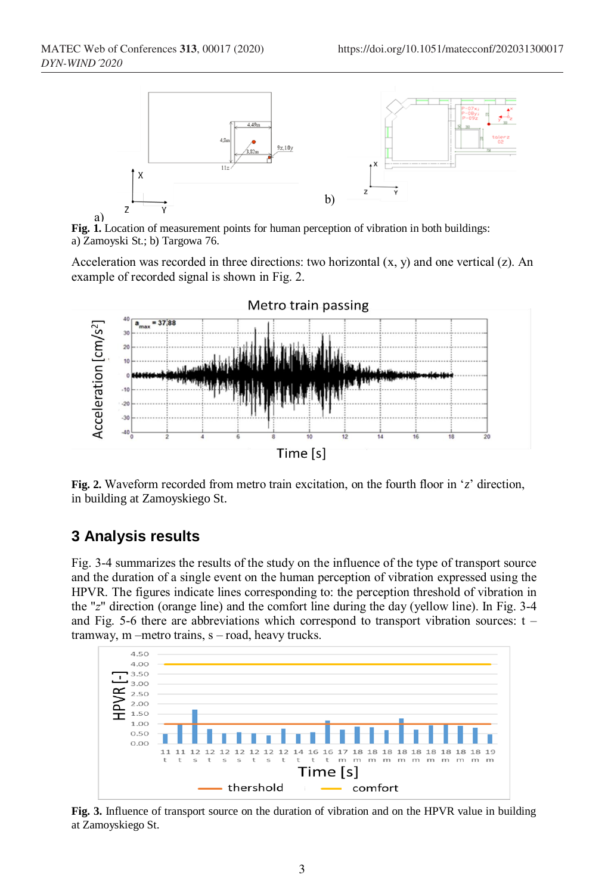

**Fig. 1.** Location of measurement points for human perception of vibration in both buildings: a) Zamoyski St.; b) Targowa 76.

Acceleration was recorded in three directions: two horizontal  $(x, y)$  and one vertical  $(z)$ . An example of recorded signal is shown in Fig. 2.



**Fig. 2.** Waveform recorded from metro train excitation, on the fourth floor in '*z*' direction, in building at Zamoyskiego St.

### **3 Analysis results**

Fig. 3-4 summarizes the results of the study on the influence of the type of transport source and the duration of a single event on the human perception of vibration expressed using the HPVR. The figures indicate lines corresponding to: the perception threshold of vibration in the "*z*" direction (orange line) and the comfort line during the day (yellow line). In Fig. 3-4 and Fig. 5-6 there are abbreviations which correspond to transport vibration sources:  $t$ tramway, m –metro trains, s – road, heavy trucks.



**Fig. 3.** Influence of transport source on the duration of vibration and on the HPVR value in building at Zamoyskiego St.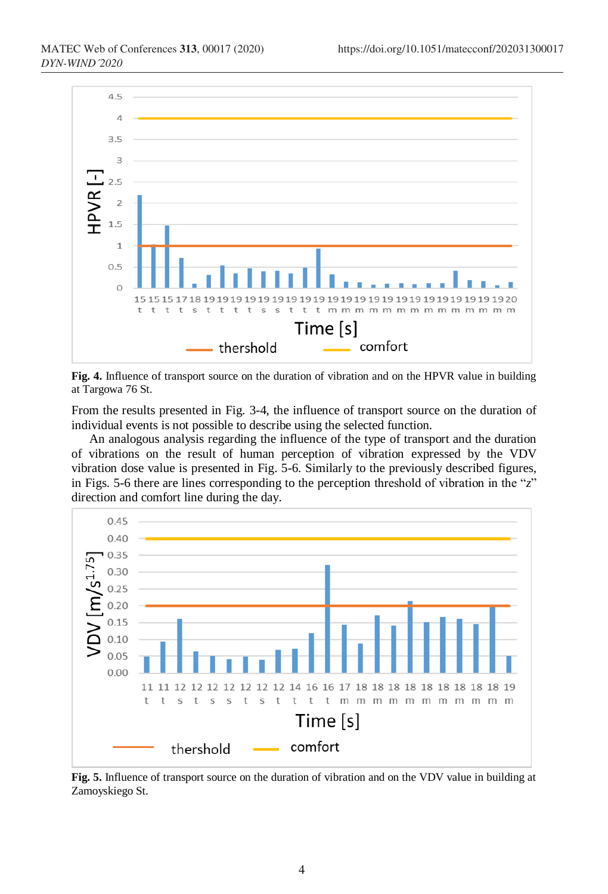

**Fig. 4.** Influence of transport source on the duration of vibration and on the HPVR value in building at Targowa 76 St.

From the results presented in Fig. 3-4, the influence of transport source on the duration of individual events is not possible to describe using the selected function.

An analogous analysis regarding the influence of the type of transport and the duration of vibrations on the result of human perception of vibration expressed by the VDV vibration dose value is presented in Fig. 5-6. Similarly to the previously described figures, in Figs. 5-6 there are lines corresponding to the perception threshold of vibration in the "*z*" direction and comfort line during the day.



**Fig. 5.** Influence of transport source on the duration of vibration and on the VDV value in building at Zamoyskiego St.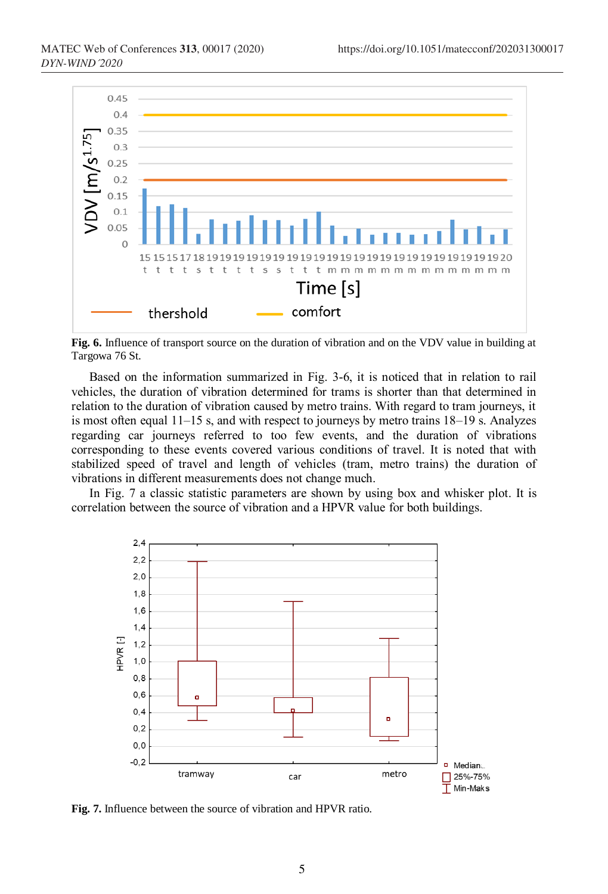

**Fig. 6.** Influence of transport source on the duration of vibration and on the VDV value in building at Targowa 76 St.

Based on the information summarized in Fig. 3-6, it is noticed that in relation to rail vehicles, the duration of vibration determined for trams is shorter than that determined in relation to the duration of vibration caused by metro trains. With regard to tram journeys, it is most often equal 11–15 s, and with respect to journeys by metro trains 18–19 s. Analyzes regarding car journeys referred to too few events, and the duration of vibrations corresponding to these events covered various conditions of travel. It is noted that with stabilized speed of travel and length of vehicles (tram, metro trains) the duration of vibrations in different measurements does not change much.

In Fig. 7 a classic statistic parameters are shown by using box and whisker plot. It is correlation between the source of vibration and a HPVR value for both buildings.



**Fig. 7.** Influence between the source of vibration and HPVR ratio.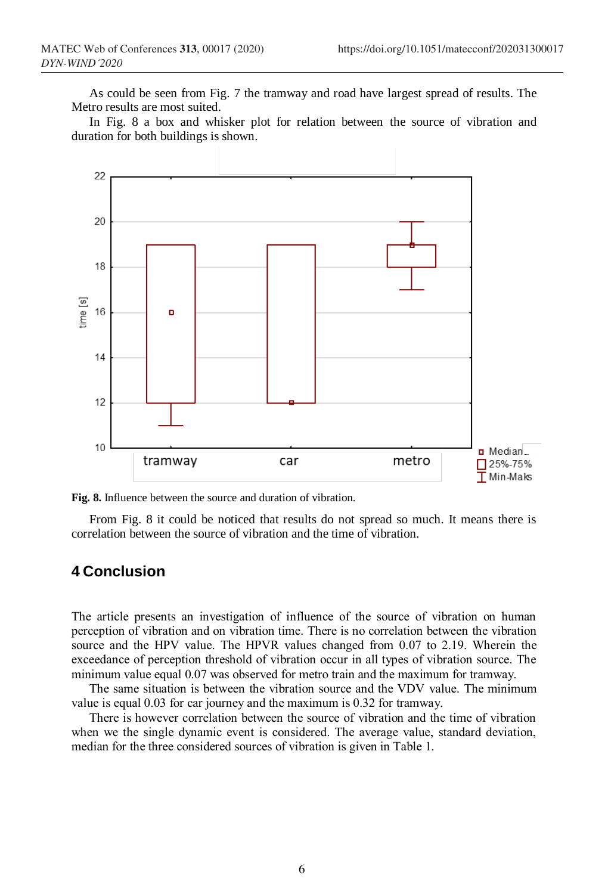As could be seen from Fig. 7 the tramway and road have largest spread of results. The Metro results are most suited.

In Fig. 8 a box and whisker plot for relation between the source of vibration and duration for both buildings is shown.





From Fig. 8 it could be noticed that results do not spread so much. It means there is correlation between the source of vibration and the time of vibration.

#### **4 Conclusion**

The article presents an investigation of influence of the source of vibration on human perception of vibration and on vibration time. There is no correlation between the vibration source and the HPV value. The HPVR values changed from 0.07 to 2.19. Wherein the exceedance of perception threshold of vibration occur in all types of vibration source. The minimum value equal 0.07 was observed for metro train and the maximum for tramway.

The same situation is between the vibration source and the VDV value. The minimum value is equal 0.03 for car journey and the maximum is 0.32 for tramway.

There is however correlation between the source of vibration and the time of vibration when we the single dynamic event is considered. The average value, standard deviation, median for the three considered sources of vibration is given in Table 1.